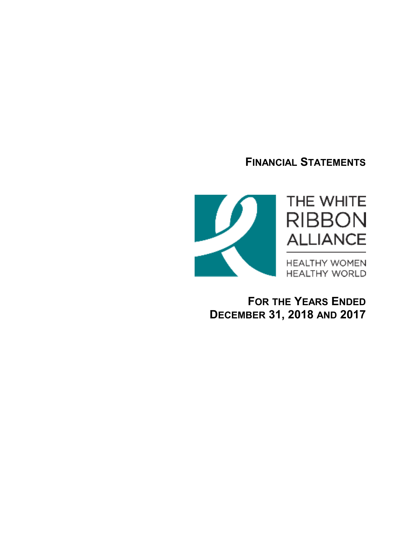# **FINANCIAL STATEMENTS**



**FOR THE YEARS ENDED DECEMBER 31, 2018 AND 2017**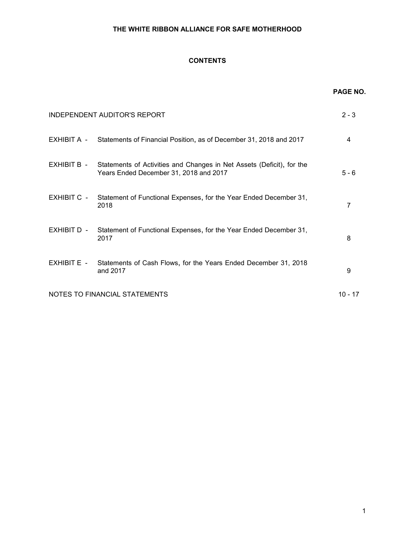# **CONTENTS**

|                    |                                                                                                                 | <b>PAGE NO.</b> |
|--------------------|-----------------------------------------------------------------------------------------------------------------|-----------------|
|                    | INDEPENDENT AUDITOR'S REPORT                                                                                    | $2 - 3$         |
|                    | EXHIBIT A - Statements of Financial Position, as of December 31, 2018 and 2017                                  | 4               |
| EXHIBIT B -        | Statements of Activities and Changes in Net Assets (Deficit), for the<br>Years Ended December 31, 2018 and 2017 | $5 - 6$         |
| <b>EXHIBIT C -</b> | Statement of Functional Expenses, for the Year Ended December 31,<br>2018                                       | $\overline{7}$  |
| EXHIBIT D -        | Statement of Functional Expenses, for the Year Ended December 31,<br>2017                                       | 8               |
| $EXHIBIT E -$      | Statements of Cash Flows, for the Years Ended December 31, 2018<br>and 2017                                     | 9               |
|                    | NOTES TO FINANCIAL STATEMENTS                                                                                   | $10 - 17$       |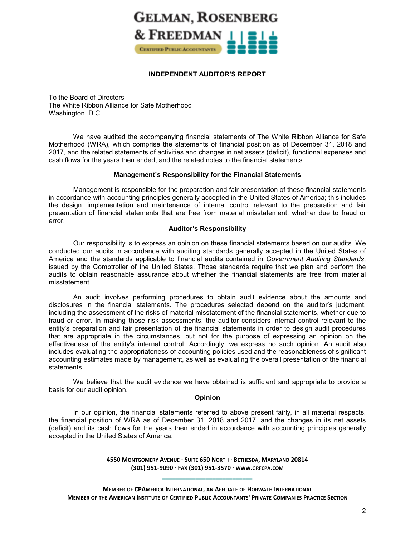

## **INDEPENDENT AUDITOR'S REPORT**

To the Board of Directors The White Ribbon Alliance for Safe Motherhood Washington, D.C.

We have audited the accompanying financial statements of The White Ribbon Alliance for Safe Motherhood (WRA), which comprise the statements of financial position as of December 31, 2018 and 2017, and the related statements of activities and changes in net assets (deficit), functional expenses and cash flows for the years then ended, and the related notes to the financial statements.

#### **Management's Responsibility for the Financial Statements**

Management is responsible for the preparation and fair presentation of these financial statements in accordance with accounting principles generally accepted in the United States of America; this includes the design, implementation and maintenance of internal control relevant to the preparation and fair presentation of financial statements that are free from material misstatement, whether due to fraud or error.

# **Auditor's Responsibility**

Our responsibility is to express an opinion on these financial statements based on our audits. We conducted our audits in accordance with auditing standards generally accepted in the United States of America and the standards applicable to financial audits contained in *Government Auditing Standards*, issued by the Comptroller of the United States. Those standards require that we plan and perform the audits to obtain reasonable assurance about whether the financial statements are free from material misstatement.

An audit involves performing procedures to obtain audit evidence about the amounts and disclosures in the financial statements. The procedures selected depend on the auditor's judgment, including the assessment of the risks of material misstatement of the financial statements, whether due to fraud or error. In making those risk assessments, the auditor considers internal control relevant to the entity's preparation and fair presentation of the financial statements in order to design audit procedures that are appropriate in the circumstances, but not for the purpose of expressing an opinion on the effectiveness of the entity's internal control. Accordingly, we express no such opinion. An audit also includes evaluating the appropriateness of accounting policies used and the reasonableness of significant accounting estimates made by management, as well as evaluating the overall presentation of the financial statements.

We believe that the audit evidence we have obtained is sufficient and appropriate to provide a basis for our audit opinion.

#### **Opinion**

In our opinion, the financial statements referred to above present fairly, in all material respects, the financial position of WRA as of December 31, 2018 and 2017, and the changes in its net assets (deficit) and its cash flows for the years then ended in accordance with accounting principles generally accepted in the United States of America.

> **4550 MONTGOMERY AVENUE · SUITE 650 NORTH · BETHESDA, MARYLAND 20814 (301) 951-9090 · FAX (301) 951-3570 · WWW.GRFCPA.COM \_\_\_\_\_\_\_\_\_\_\_\_\_\_\_\_\_\_\_\_\_\_\_\_\_\_\_**

**MEMBER OF CPAMERICA INTERNATIONAL, AN AFFILIATE OF HORWATH INTERNATIONAL** MEMBER OF THE AMERICAN INSTITUTE OF CERTIFIED PUBLIC ACCOUNTANTS' PRIVATE COMPANIES PRACTICE SECTION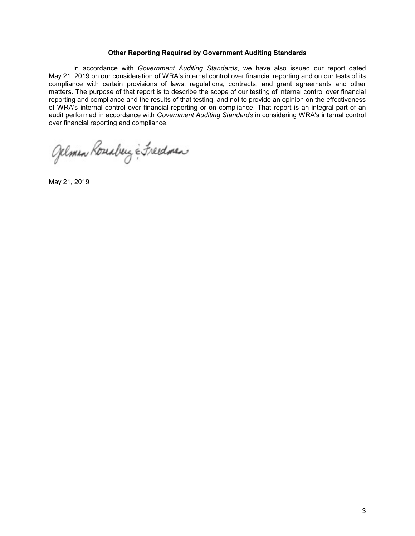## **Other Reporting Required by Government Auditing Standards**

In accordance with *Government Auditing Standards*, we have also issued our report dated May 21, 2019 on our consideration of WRA's internal control over financial reporting and on our tests of its compliance with certain provisions of laws, regulations, contracts, and grant agreements and other matters. The purpose of that report is to describe the scope of our testing of internal control over financial reporting and compliance and the results of that testing, and not to provide an opinion on the effectiveness of WRA's internal control over financial reporting or on compliance. That report is an integral part of an audit performed in accordance with *Government Auditing Standards* in considering WRA's internal control over financial reporting and compliance.

Jelman Roseaberg & Freedman

May 21, 2019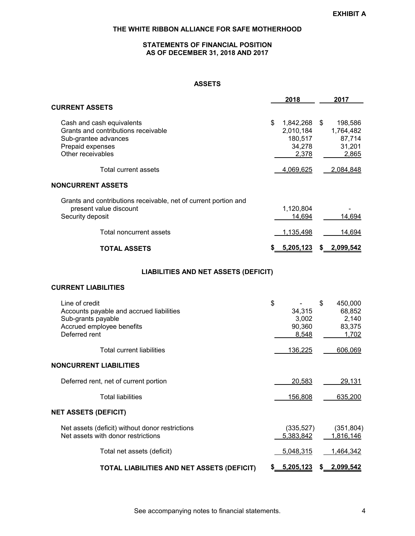# **STATEMENTS OF FINANCIAL POSITION AS OF DECEMBER 31, 2018 AND 2017**

# **ASSETS**

|                                                                                                                                   | 2018                                                       | 2017                                                    |
|-----------------------------------------------------------------------------------------------------------------------------------|------------------------------------------------------------|---------------------------------------------------------|
| <b>CURRENT ASSETS</b>                                                                                                             |                                                            |                                                         |
| Cash and cash equivalents<br>Grants and contributions receivable<br>Sub-grantee advances<br>Prepaid expenses<br>Other receivables | \$<br>1,842,268<br>2,010,184<br>180,517<br>34,278<br>2,378 | \$<br>198,586<br>1,764,482<br>87,714<br>31,201<br>2,865 |
| Total current assets                                                                                                              | 4,069,625                                                  | 2,084,848                                               |
| <b>NONCURRENT ASSETS</b>                                                                                                          |                                                            |                                                         |
| Grants and contributions receivable, net of current portion and<br>present value discount<br>Security deposit                     | 1,120,804<br>14,694                                        | 14,694                                                  |
| <b>Total noncurrent assets</b>                                                                                                    | 1,135,498                                                  | 14,694                                                  |
| <b>TOTAL ASSETS</b>                                                                                                               | \$ 5,205,123                                               | \$2,099,542                                             |
| <b>LIABILITIES AND NET ASSETS (DEFICIT)</b>                                                                                       |                                                            |                                                         |
| <b>CURRENT LIABILITIES</b>                                                                                                        |                                                            |                                                         |
| Line of credit<br>Accounts payable and accrued liabilities<br>Sub-grants payable<br>Accrued employee benefits<br>Deferred rent    | \$<br>34,315<br>3,002<br>90,360<br>8,548                   | \$<br>450,000<br>68,852<br>2,140<br>83,375<br>1,702     |
| <b>Total current liabilities</b>                                                                                                  | 136,225                                                    | 606,069                                                 |
| <b>NONCURRENT LIABILITIES</b>                                                                                                     |                                                            |                                                         |
| Deferred rent, net of current portion                                                                                             | 20,583                                                     | 29,131                                                  |
| <b>Total liabilities</b>                                                                                                          | 156,808                                                    | 635,200                                                 |
| <b>NET ASSETS (DEFICIT)</b>                                                                                                       |                                                            |                                                         |
| Net assets (deficit) without donor restrictions<br>Net assets with donor restrictions                                             | (335, 527)<br>5,383,842                                    | (351, 804)<br>1,816,146                                 |
| Total net assets (deficit)                                                                                                        | 5,048,315                                                  | 1,464,342                                               |
| TOTAL LIABILITIES AND NET ASSETS (DEFICIT)                                                                                        | $$ 5,205,123$ $$ 2,099,542$                                |                                                         |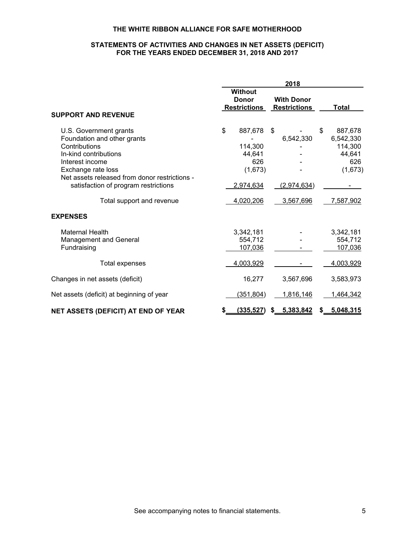# **STATEMENTS OF ACTIVITIES AND CHANGES IN NET ASSETS (DEFICIT) FOR THE YEARS ENDED DECEMBER 31, 2018 AND 2017**

|                                                                                                                                                                                                                                   | 2018 |                                                             |    |                                          |    |                                                             |
|-----------------------------------------------------------------------------------------------------------------------------------------------------------------------------------------------------------------------------------|------|-------------------------------------------------------------|----|------------------------------------------|----|-------------------------------------------------------------|
| <b>SUPPORT AND REVENUE</b>                                                                                                                                                                                                        |      | Without<br><b>Donor</b><br><b>Restrictions</b>              |    | <b>With Donor</b><br><b>Restrictions</b> |    | <b>Total</b>                                                |
| U.S. Government grants<br>Foundation and other grants<br>Contributions<br>In-kind contributions<br>Interest income<br>Exchange rate loss<br>Net assets released from donor restrictions -<br>satisfaction of program restrictions | \$   | 887,678<br>114,300<br>44,641<br>626<br>(1,673)<br>2,974,634 | \$ | 6,542,330<br>(2,974,634)                 | \$ | 887,678<br>6,542,330<br>114,300<br>44,641<br>626<br>(1,673) |
| Total support and revenue                                                                                                                                                                                                         |      | 4,020,206                                                   |    | 3,567,696                                |    | 7,587,902                                                   |
| <b>EXPENSES</b>                                                                                                                                                                                                                   |      |                                                             |    |                                          |    |                                                             |
| <b>Maternal Health</b><br><b>Management and General</b><br>Fundraising                                                                                                                                                            |      | 3,342,181<br>554,712<br>107,036                             |    |                                          |    | 3,342,181<br>554,712<br>107,036                             |
| <b>Total expenses</b>                                                                                                                                                                                                             |      | 4,003,929                                                   |    |                                          |    | 4,003,929                                                   |
| Changes in net assets (deficit)                                                                                                                                                                                                   |      | 16,277                                                      |    | 3,567,696                                |    | 3,583,973                                                   |
| Net assets (deficit) at beginning of year                                                                                                                                                                                         |      | (351, 804)                                                  |    | 1,816,146                                |    | 1,464,342                                                   |
| NET ASSETS (DEFICIT) AT END OF YEAR                                                                                                                                                                                               |      | (335, 527)                                                  | S. | 5,383,842                                |    | 5,048,315                                                   |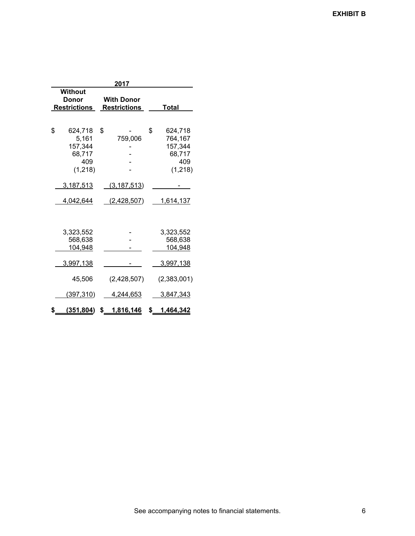|    |                                                          | 2017                                     |                                                                  |
|----|----------------------------------------------------------|------------------------------------------|------------------------------------------------------------------|
|    | Without<br>Donor<br><b>Restrictions</b>                  | <b>With Donor</b><br><b>Restrictions</b> | Total                                                            |
| \$ | 624,718<br>5.161<br>157,344<br>68,717<br>409<br>(1, 218) | \$<br>759,006                            | \$<br>624,718<br>764,167<br>157,344<br>68,717<br>409<br>(1, 218) |
|    | 3,187,513                                                | (3, 187, 513)                            |                                                                  |
|    | 4,042,644                                                | (2,428,507)                              | 1,614,137                                                        |
|    | 3,323,552<br>568.638<br>104,948                          |                                          | 3,323,552<br>568,638<br>104,948                                  |
|    | 3,997,138                                                |                                          | 3,997,138                                                        |
|    | 45,506                                                   | (2,428,507)                              | (2,383,001)                                                      |
|    | <u>(397,310)</u>                                         | 4,244,653                                | 3,847,343                                                        |
| S  | <u>(351,804)</u>                                         | \$ <u>__1,816,146</u>                    | \$ 1,464,342                                                     |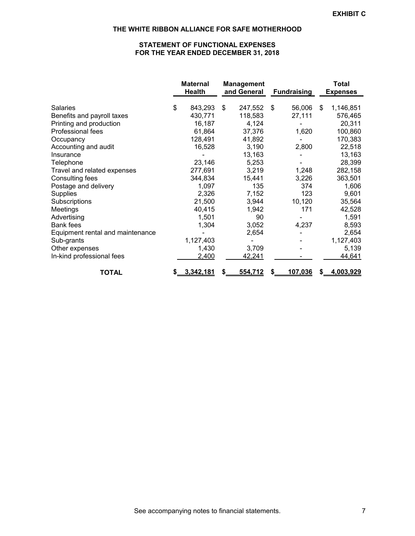# **STATEMENT OF FUNCTIONAL EXPENSES FOR THE YEAR ENDED DECEMBER 31, 2018**

|                                  | <b>Maternal</b><br>Health | <b>Management</b><br>and General | <b>Fundraising</b> | <b>Total</b><br><b>Expenses</b> |
|----------------------------------|---------------------------|----------------------------------|--------------------|---------------------------------|
| <b>Salaries</b>                  | \$<br>843,293             | \$<br>247,552                    | \$<br>56,006       | \$<br>1,146,851                 |
| Benefits and payroll taxes       | 430,771                   | 118,583                          | 27,111             | 576,465                         |
| Printing and production          | 16,187                    | 4,124                            |                    | 20,311                          |
| Professional fees                | 61,864                    | 37,376                           | 1,620              | 100,860                         |
| Occupancy                        | 128,491                   | 41,892                           |                    | 170,383                         |
| Accounting and audit             | 16,528                    | 3,190                            | 2,800              | 22,518                          |
| Insurance                        |                           | 13,163                           |                    | 13,163                          |
| Telephone                        | 23,146                    | 5,253                            |                    | 28,399                          |
| Travel and related expenses      | 277,691                   | 3,219                            | 1,248              | 282,158                         |
| Consulting fees                  | 344,834                   | 15,441                           | 3,226              | 363,501                         |
| Postage and delivery             | 1,097                     | 135                              | 374                | 1,606                           |
| <b>Supplies</b>                  | 2,326                     | 7,152                            | 123                | 9,601                           |
| Subscriptions                    | 21,500                    | 3,944                            | 10,120             | 35,564                          |
| Meetings                         | 40,415                    | 1,942                            | 171                | 42,528                          |
| Advertising                      | 1,501                     | 90                               |                    | 1,591                           |
| <b>Bank fees</b>                 | 1,304                     | 3,052                            | 4,237              | 8,593                           |
| Equipment rental and maintenance |                           | 2,654                            |                    | 2,654                           |
| Sub-grants                       | 1,127,403                 |                                  |                    | 1,127,403                       |
| Other expenses                   | 1,430                     | 3,709                            |                    | 5,139                           |
| In-kind professional fees        | 2,400                     | 42,241                           |                    | 44,641                          |
| <b>TOTAL</b>                     | 3,342,181                 | 554,712                          | 107,036            | \$<br>4,003,929                 |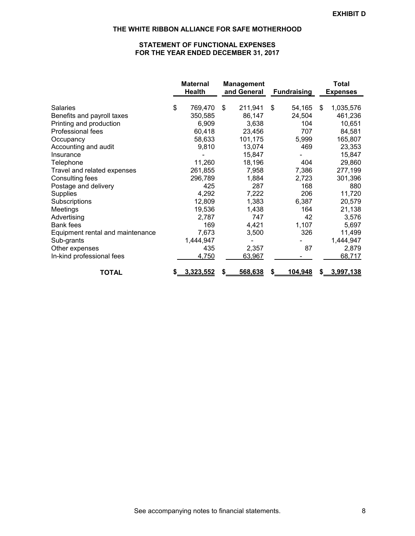# **STATEMENT OF FUNCTIONAL EXPENSES FOR THE YEAR ENDED DECEMBER 31, 2017**

|                                  | <b>Maternal</b><br>Health | <b>Management</b><br>and General |    | <b>Fundraising</b> | <b>Total</b><br><b>Expenses</b> |
|----------------------------------|---------------------------|----------------------------------|----|--------------------|---------------------------------|
| <b>Salaries</b>                  | \$<br>769,470             | \$<br>211,941                    | \$ | 54,165             | \$<br>1,035,576                 |
| Benefits and payroll taxes       | 350,585                   | 86,147                           |    | 24,504             | 461,236                         |
| Printing and production          | 6,909                     | 3,638                            |    | 104                | 10,651                          |
| Professional fees                | 60,418                    | 23,456                           |    | 707                | 84,581                          |
| Occupancy                        | 58,633                    | 101,175                          |    | 5,999              | 165,807                         |
| Accounting and audit             | 9,810                     | 13,074                           |    | 469                | 23,353                          |
| Insurance                        |                           | 15,847                           |    |                    | 15,847                          |
| Telephone                        | 11,260                    | 18,196                           |    | 404                | 29,860                          |
| Travel and related expenses      | 261,855                   | 7,958                            |    | 7,386              | 277,199                         |
| Consulting fees                  | 296,789                   | 1,884                            |    | 2,723              | 301,396                         |
| Postage and delivery             | 425                       | 287                              |    | 168                | 880                             |
| <b>Supplies</b>                  | 4,292                     | 7,222                            |    | 206                | 11,720                          |
| Subscriptions                    | 12,809                    | 1,383                            |    | 6,387              | 20,579                          |
| Meetings                         | 19,536                    | 1,438                            |    | 164                | 21,138                          |
| Advertising                      | 2,787                     | 747                              |    | 42                 | 3,576                           |
| <b>Bank fees</b>                 | 169                       | 4,421                            |    | 1,107              | 5,697                           |
| Equipment rental and maintenance | 7,673                     | 3,500                            |    | 326                | 11,499                          |
| Sub-grants                       | 1,444,947                 |                                  |    |                    | 1,444,947                       |
| Other expenses                   | 435                       | 2,357                            |    | 87                 | 2,879                           |
| In-kind professional fees        | 4,750                     | 63,967                           |    |                    | 68,717                          |
| <b>TOTAL</b>                     | 3,323,552                 | 568,638                          | S  | 104,948            | \$<br>3,997,138                 |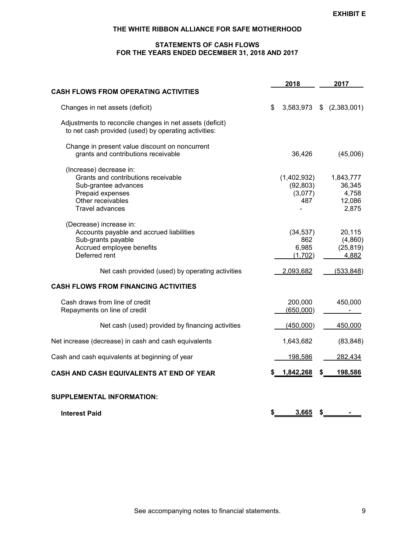# **STATEMENTS OF CASH FLOWS FOR THE YEARS ENDED DECEMBER 31, 2018 AND 2017**

|                                                                                                                                                           | 2018                                       |   | 2017                                            |
|-----------------------------------------------------------------------------------------------------------------------------------------------------------|--------------------------------------------|---|-------------------------------------------------|
| <b>CASH FLOWS FROM OPERATING ACTIVITIES</b>                                                                                                               |                                            |   |                                                 |
| Changes in net assets (deficit)                                                                                                                           | \$<br>3,583,973                            |   | \$ (2,383,001)                                  |
| Adjustments to reconcile changes in net assets (deficit)<br>to net cash provided (used) by operating activities:                                          |                                            |   |                                                 |
| Change in present value discount on noncurrent<br>grants and contributions receivable                                                                     | 36,426                                     |   | (45,006)                                        |
| (Increase) decrease in:<br>Grants and contributions receivable<br>Sub-grantee advances<br>Prepaid expenses<br>Other receivables<br><b>Travel advances</b> | (1,402,932)<br>(92, 803)<br>(3,077)<br>487 |   | 1,843,777<br>36,345<br>4,758<br>12,086<br>2,875 |
| (Decrease) increase in:<br>Accounts payable and accrued liabilities<br>Sub-grants payable<br>Accrued employee benefits<br>Deferred rent                   | (34, 537)<br>862<br>6,985<br>(1,702)       |   | 20,115<br>(4,860)<br>(25, 819)<br>4,882         |
| Net cash provided (used) by operating activities                                                                                                          | 2,093,682                                  |   | (533, 848)                                      |
| <b>CASH FLOWS FROM FINANCING ACTIVITIES</b>                                                                                                               |                                            |   |                                                 |
| Cash draws from line of credit<br>Repayments on line of credit                                                                                            | 200,000<br>(650,000)                       |   | 450,000                                         |
| Net cash (used) provided by financing activities                                                                                                          | (450,000)                                  |   | 450,000                                         |
| Net increase (decrease) in cash and cash equivalents                                                                                                      | 1,643,682                                  |   | (83, 848)                                       |
| Cash and cash equivalents at beginning of year                                                                                                            | 198,586                                    |   | 282,434                                         |
| <b>CASH AND CASH EQUIVALENTS AT END OF YEAR</b>                                                                                                           | 1,842,268                                  |   | 198,586                                         |
| <b>SUPPLEMENTAL INFORMATION:</b>                                                                                                                          |                                            |   |                                                 |
| <b>Interest Paid</b>                                                                                                                                      | \$<br>3,665                                | S |                                                 |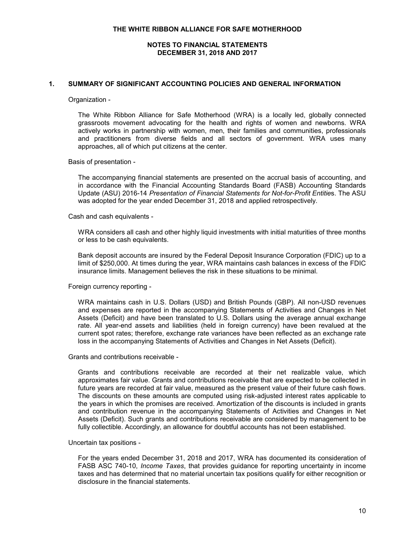#### **NOTES TO FINANCIAL STATEMENTS DECEMBER 31, 2018 AND 2017**

#### **1. SUMMARY OF SIGNIFICANT ACCOUNTING POLICIES AND GENERAL INFORMATION**

#### Organization -

The White Ribbon Alliance for Safe Motherhood (WRA) is a locally led, globally connected grassroots movement advocating for the health and rights of women and newborns. WRA actively works in partnership with women, men, their families and communities, professionals and practitioners from diverse fields and all sectors of government. WRA uses many approaches, all of which put citizens at the center.

Basis of presentation -

The accompanying financial statements are presented on the accrual basis of accounting, and in accordance with the Financial Accounting Standards Board (FASB) Accounting Standards Update (ASU) 2016-14 *Presentation of Financial Statements for Not-for-Profit Entitie*s. The ASU was adopted for the year ended December 31, 2018 and applied retrospectively.

Cash and cash equivalents -

WRA considers all cash and other highly liquid investments with initial maturities of three months or less to be cash equivalents.

Bank deposit accounts are insured by the Federal Deposit Insurance Corporation (FDIC) up to a limit of \$250,000. At times during the year, WRA maintains cash balances in excess of the FDIC insurance limits. Management believes the risk in these situations to be minimal.

Foreign currency reporting -

WRA maintains cash in U.S. Dollars (USD) and British Pounds (GBP). All non-USD revenues and expenses are reported in the accompanying Statements of Activities and Changes in Net Assets (Deficit) and have been translated to U.S. Dollars using the average annual exchange rate. All year-end assets and liabilities (held in foreign currency) have been revalued at the current spot rates; therefore, exchange rate variances have been reflected as an exchange rate loss in the accompanying Statements of Activities and Changes in Net Assets (Deficit).

Grants and contributions receivable -

Grants and contributions receivable are recorded at their net realizable value, which approximates fair value. Grants and contributions receivable that are expected to be collected in future years are recorded at fair value, measured as the present value of their future cash flows. The discounts on these amounts are computed using risk-adjusted interest rates applicable to the years in which the promises are received. Amortization of the discounts is included in grants and contribution revenue in the accompanying Statements of Activities and Changes in Net Assets (Deficit). Such grants and contributions receivable are considered by management to be fully collectible. Accordingly, an allowance for doubtful accounts has not been established.

Uncertain tax positions -

For the years ended December 31, 2018 and 2017, WRA has documented its consideration of FASB ASC 740-10, *Income Taxes*, that provides guidance for reporting uncertainty in income taxes and has determined that no material uncertain tax positions qualify for either recognition or disclosure in the financial statements.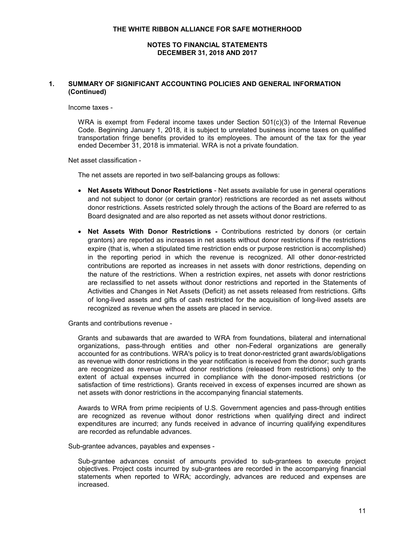#### **NOTES TO FINANCIAL STATEMENTS DECEMBER 31, 2018 AND 2017**

## **1. SUMMARY OF SIGNIFICANT ACCOUNTING POLICIES AND GENERAL INFORMATION (Continued)**

Income taxes -

WRA is exempt from Federal income taxes under Section 501(c)(3) of the Internal Revenue Code. Beginning January 1, 2018, it is subject to unrelated business income taxes on qualified transportation fringe benefits provided to its employees. The amount of the tax for the year ended December 31, 2018 is immaterial. WRA is not a private foundation.

Net asset classification -

The net assets are reported in two self-balancing groups as follows:

- **Net Assets Without Donor Restrictions** Net assets available for use in general operations and not subject to donor (or certain grantor) restrictions are recorded as net assets without donor restrictions. Assets restricted solely through the actions of the Board are referred to as Board designated and are also reported as net assets without donor restrictions.
- **Net Assets With Donor Restrictions -** Contributions restricted by donors (or certain grantors) are reported as increases in net assets without donor restrictions if the restrictions expire (that is, when a stipulated time restriction ends or purpose restriction is accomplished) in the reporting period in which the revenue is recognized. All other donor-restricted contributions are reported as increases in net assets with donor restrictions, depending on the nature of the restrictions. When a restriction expires, net assets with donor restrictions are reclassified to net assets without donor restrictions and reported in the Statements of Activities and Changes in Net Assets (Deficit) as net assets released from restrictions. Gifts of long-lived assets and gifts of cash restricted for the acquisition of long-lived assets are recognized as revenue when the assets are placed in service.

Grants and contributions revenue -

Grants and subawards that are awarded to WRA from foundations, bilateral and international organizations, pass-through entities and other non-Federal organizations are generally accounted for as contributions. WRA's policy is to treat donor-restricted grant awards/obligations as revenue with donor restrictions in the year notification is received from the donor; such grants are recognized as revenue without donor restrictions (released from restrictions) only to the extent of actual expenses incurred in compliance with the donor-imposed restrictions (or satisfaction of time restrictions). Grants received in excess of expenses incurred are shown as net assets with donor restrictions in the accompanying financial statements.

Awards to WRA from prime recipients of U.S. Government agencies and pass-through entities are recognized as revenue without donor restrictions when qualifying direct and indirect expenditures are incurred; any funds received in advance of incurring qualifying expenditures are recorded as refundable advances.

Sub-grantee advances, payables and expenses -

Sub-grantee advances consist of amounts provided to sub-grantees to execute project objectives. Project costs incurred by sub-grantees are recorded in the accompanying financial statements when reported to WRA; accordingly, advances are reduced and expenses are increased.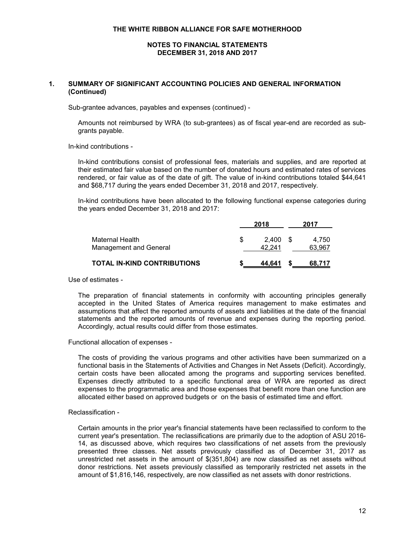#### **NOTES TO FINANCIAL STATEMENTS DECEMBER 31, 2018 AND 2017**

# **1. SUMMARY OF SIGNIFICANT ACCOUNTING POLICIES AND GENERAL INFORMATION (Continued)**

Sub-grantee advances, payables and expenses (continued) -

Amounts not reimbursed by WRA (to sub-grantees) as of fiscal year-end are recorded as subgrants payable.

In-kind contributions -

In-kind contributions consist of professional fees, materials and supplies, and are reported at their estimated fair value based on the number of donated hours and estimated rates of services rendered, or fair value as of the date of gift. The value of in-kind contributions totaled \$44,641 and \$68,717 during the years ended December 31, 2018 and 2017, respectively.

In-kind contributions have been allocated to the following functional expense categories during the years ended December 31, 2018 and 2017:

|                                           | 2018            |      | 2017            |
|-------------------------------------------|-----------------|------|-----------------|
| Maternal Health<br>Management and General | 2.400<br>42.241 | - \$ | 4.750<br>63.967 |
| <b>TOTAL IN-KIND CONTRIBUTIONS</b>        | 44.641          | S    | 68.717          |

Use of estimates -

The preparation of financial statements in conformity with accounting principles generally accepted in the United States of America requires management to make estimates and assumptions that affect the reported amounts of assets and liabilities at the date of the financial statements and the reported amounts of revenue and expenses during the reporting period. Accordingly, actual results could differ from those estimates.

Functional allocation of expenses -

The costs of providing the various programs and other activities have been summarized on a functional basis in the Statements of Activities and Changes in Net Assets (Deficit). Accordingly, certain costs have been allocated among the programs and supporting services benefited. Expenses directly attributed to a specific functional area of WRA are reported as direct expenses to the programmatic area and those expenses that benefit more than one function are allocated either based on approved budgets or on the basis of estimated time and effort.

#### Reclassification -

Certain amounts in the prior year's financial statements have been reclassified to conform to the current year's presentation. The reclassifications are primarily due to the adoption of ASU 2016- 14, as discussed above, which requires two classifications of net assets from the previously presented three classes. Net assets previously classified as of December 31, 2017 as unrestricted net assets in the amount of \$(351,804) are now classified as net assets without donor restrictions. Net assets previously classified as temporarily restricted net assets in the amount of \$1,816,146, respectively, are now classified as net assets with donor restrictions.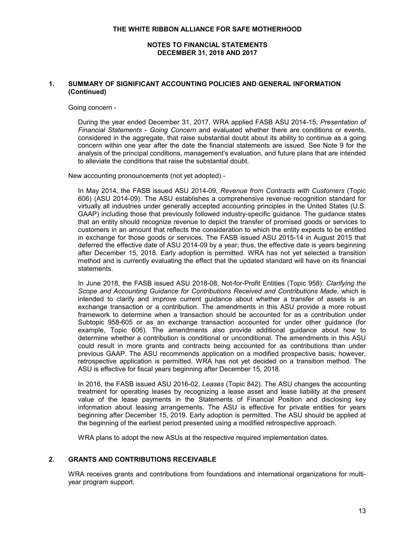**NOTES TO FINANCIAL STATEMENTS DECEMBER 31, 2018 AND 2017**

## **1. SUMMARY OF SIGNIFICANT ACCOUNTING POLICIES AND GENERAL INFORMATION (Continued)**

Going concern -

During the year ended December 31, 2017, WRA applied FASB ASU 2014-15, *Presentation of Financial Statements - Going Concern* and evaluated whether there are conditions or events, considered in the aggregate, that raise substantial doubt about its ability to continue as a going concern within one year after the date the financial statements are issued. See Note 9 for the analysis of the principal conditions, management's evaluation, and future plans that are intended to alleviate the conditions that raise the substantial doubt.

New accounting pronouncements (not yet adopted) -

In May 2014, the FASB issued ASU 2014-09, *Revenue from Contracts with Customers* (Topic 606) (ASU 2014-09). The ASU establishes a comprehensive revenue recognition standard for virtually all industries under generally accepted accounting principles in the United States (U.S. GAAP) including those that previously followed industry-specific guidance. The guidance states that an entity should recognize revenue to depict the transfer of promised goods or services to customers in an amount that reflects the consideration to which the entity expects to be entitled in exchange for those goods or services. The FASB issued ASU 2015-14 in August 2015 that deferred the effective date of ASU 2014-09 by a year; thus, the effective date is years beginning after December 15, 2018. Early adoption is permitted. WRA has not yet selected a transition method and is currently evaluating the effect that the updated standard will have on its financial statements.

In June 2018, the FASB issued ASU 2018-08, Not-for-Profit Entities (Topic 958): *Clarifying the Scope and Accounting Guidance for Contributions Received and Contributions Made*, which is intended to clarify and improve current guidance about whether a transfer of assets is an exchange transaction or a contribution. The amendments in this ASU provide a more robust framework to determine when a transaction should be accounted for as a contribution under Subtopic 958-605 or as an exchange transaction accounted for under other guidance (for example, Topic 606). The amendments also provide additional guidance about how to determine whether a contribution is conditional or unconditional. The amendments in this ASU could result in more grants and contracts being accounted for as contributions than under previous GAAP. The ASU recommends application on a modified prospective basis; however, retrospective application is permitted. WRA has not yet decided on a transition method. The ASU is effective for fiscal years beginning after December 15, 2018.

In 2016, the FASB issued ASU 2016-02, *Leases* (Topic 842). The ASU changes the accounting treatment for operating leases by recognizing a lease asset and lease liability at the present value of the lease payments in the Statements of Financial Position and disclosing key information about leasing arrangements. The ASU is effective for private entities for years beginning after December 15, 2019. Early adoption is permitted. The ASU should be applied at the beginning of the earliest period presented using a modified retrospective approach.

WRA plans to adopt the new ASUs at the respective required implementation dates.

#### **2. GRANTS AND CONTRIBUTIONS RECEIVABLE**

WRA receives grants and contributions from foundations and international organizations for multiyear program support.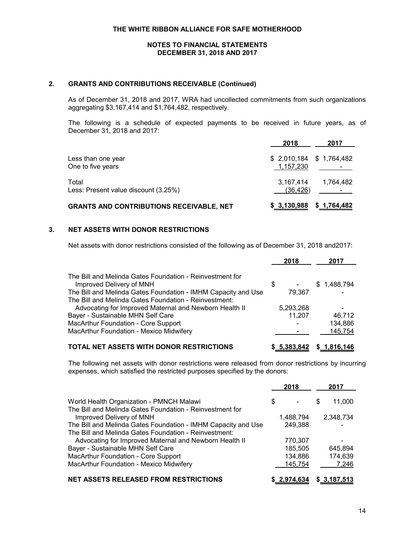**NOTES TO FINANCIAL STATEMENTS DECEMBER 31, 2018 AND 2017**

#### **2. GRANTS AND CONTRIBUTIONS RECEIVABLE (Continued)**

As of December 31, 2018 and 2017, WRA had uncollected commitments from such organizations aggregating \$3,167,414 and \$1,764,482, respectively.

The following is a schedule of expected payments to be received in future years, as of December 31, 2018 and 2017:

|                                                 | 2018                   | 2017                      |
|-------------------------------------------------|------------------------|---------------------------|
| Less than one year<br>One to five years         | 1,157,230              | $$2,010,184$ $$1,764,482$ |
| Total<br>Less: Present value discount (3.25%)   | 3,167,414<br>(36, 426) | 1,764,482                 |
| <b>GRANTS AND CONTRIBUTIONS RECEIVABLE, NET</b> | \$3,130,988            | \$1,764,482               |

#### **3. NET ASSETS WITH DONOR RESTRICTIONS**

Net assets with donor restrictions consisted of the following as of December 31, 2018 and2017:

|                                                                                                                                                       | 2018         | 2017                         |
|-------------------------------------------------------------------------------------------------------------------------------------------------------|--------------|------------------------------|
| The Bill and Melinda Gates Foundation - Reinvestment for<br>Improved Delivery of MNH<br>The Bill and Melinda Gates Foundation - IMHM Capacity and Use | \$<br>79,367 | \$1,488,794                  |
| The Bill and Melinda Gates Foundation - Reinvestment:<br>Advocating for Improved Maternal and Newborn Health II                                       | 5,293,268    |                              |
| Bayer - Sustainable MHN Self Care<br>MacArthur Foundation - Core Support<br>MacArthur Foundation - Mexico Midwifery                                   | 11,207       | 46,712<br>134,886<br>145,754 |
| <b>TOTAL NET ASSETS WITH DONOR RESTRICTIONS</b>                                                                                                       | \$ 5,383,842 | \$1,816,146                  |

The following net assets with donor restrictions were released from donor restrictions by incurring expenses, which satisfied the restricted purposes specified by the donors:

|                                                                                                                        | 2018 |             |   | 2017        |
|------------------------------------------------------------------------------------------------------------------------|------|-------------|---|-------------|
| World Health Organization - PMNCH Malawi<br>The Bill and Melinda Gates Foundation - Reinvestment for                   | S    |             | S | 11,000      |
| Improved Delivery of MNH                                                                                               |      | 1,488,794   |   | 2,348,734   |
| The Bill and Melinda Gates Foundation - IMHM Capacity and Use<br>The Bill and Melinda Gates Foundation - Reinvestment: |      | 249.388     |   |             |
| Advocating for Improved Maternal and Newborn Health II                                                                 |      | 770,307     |   |             |
| Bayer - Sustainable MHN Self Care                                                                                      |      | 185.505     |   | 645.894     |
| MacArthur Foundation - Core Support                                                                                    |      | 134,886     |   | 174,639     |
| MacArthur Foundation - Mexico Midwifery                                                                                |      | 145,754     |   | 7,246       |
| <b>NET ASSETS RELEASED FROM RESTRICTIONS</b>                                                                           |      | \$2,974,634 |   | \$3,187,513 |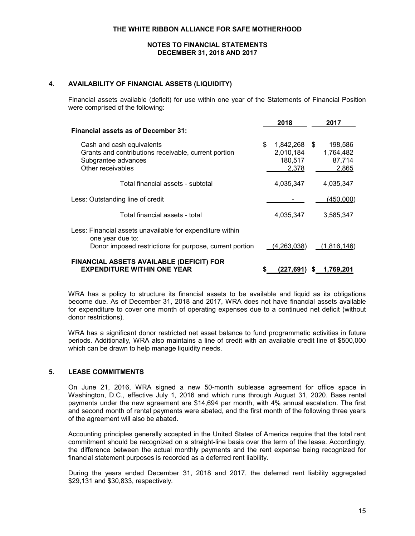#### **NOTES TO FINANCIAL STATEMENTS DECEMBER 31, 2018 AND 2017**

# **4. AVAILABILITY OF FINANCIAL ASSETS (LIQUIDITY)**

Financial assets available (deficit) for use within one year of the Statements of Financial Position were comprised of the following:

|                                                                                                                                          |    | 2018                                          |   | 2017                                    |
|------------------------------------------------------------------------------------------------------------------------------------------|----|-----------------------------------------------|---|-----------------------------------------|
| <b>Financial assets as of December 31:</b>                                                                                               |    |                                               |   |                                         |
| Cash and cash equivalents<br>Grants and contributions receivable, current portion<br>Subgrantee advances<br>Other receivables            | \$ | 1,842,268 \$<br>2,010,184<br>180,517<br>2,378 |   | 198,586<br>1,764,482<br>87,714<br>2,865 |
| Total financial assets - subtotal                                                                                                        |    | 4,035,347                                     |   | 4,035,347                               |
| Less: Outstanding line of credit                                                                                                         |    |                                               |   | <u>(450,000)</u>                        |
| Total financial assets - total                                                                                                           |    | 4,035,347                                     |   | 3,585,347                               |
| Less: Financial assets unavailable for expenditure within<br>one year due to:<br>Donor imposed restrictions for purpose, current portion |    | (4,263,038)                                   |   | (1,816,146)                             |
| FINANCIAL ASSETS AVAILABLE (DEFICIT) FOR<br><b>EXPENDITURE WITHIN ONE YEAR</b>                                                           | S  | (227,691)                                     | S | 1,769,201                               |

WRA has a policy to structure its financial assets to be available and liquid as its obligations become due. As of December 31, 2018 and 2017, WRA does not have financial assets available for expenditure to cover one month of operating expenses due to a continued net deficit (without donor restrictions).

WRA has a significant donor restricted net asset balance to fund programmatic activities in future periods. Additionally, WRA also maintains a line of credit with an available credit line of \$500,000 which can be drawn to help manage liquidity needs.

#### **5. LEASE COMMITMENTS**

On June 21, 2016, WRA signed a new 50-month sublease agreement for office space in Washington, D.C., effective July 1, 2016 and which runs through August 31, 2020. Base rental payments under the new agreement are \$14,694 per month, with 4% annual escalation. The first and second month of rental payments were abated, and the first month of the following three years of the agreement will also be abated.

Accounting principles generally accepted in the United States of America require that the total rent commitment should be recognized on a straight-line basis over the term of the lease. Accordingly, the difference between the actual monthly payments and the rent expense being recognized for financial statement purposes is recorded as a deferred rent liability.

During the years ended December 31, 2018 and 2017, the deferred rent liability aggregated \$29,131 and \$30,833, respectively.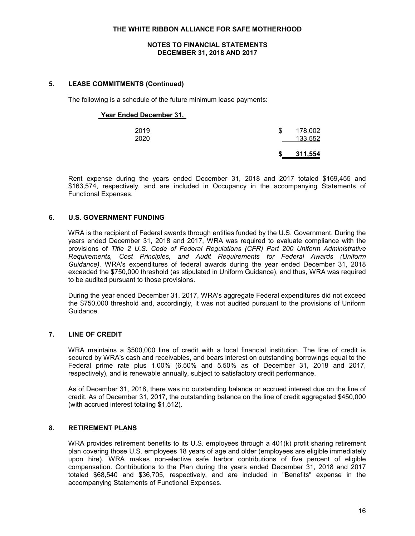#### **NOTES TO FINANCIAL STATEMENTS DECEMBER 31, 2018 AND 2017**

# **5. LEASE COMMITMENTS (Continued)**

The following is a schedule of the future minimum lease payments:

#### **Year Ended December 31,**

| 2019 | 178,002 |
|------|---------|
| 2020 | 133,552 |

Rent expense during the years ended December 31, 2018 and 2017 totaled \$169,455 and \$163,574, respectively, and are included in Occupancy in the accompanying Statements of Functional Expenses.

## **6. U.S. GOVERNMENT FUNDING**

WRA is the recipient of Federal awards through entities funded by the U.S. Government. During the years ended December 31, 2018 and 2017, WRA was required to evaluate compliance with the provisions of *Title 2 U.S. Code of Federal Regulations (CFR) Part 200 Uniform Administrative Requirements, Cost Principles, and Audit Requirements for Federal Awards (Uniform Guidance).* WRA's expenditures of federal awards during the year ended December 31, 2018 exceeded the \$750,000 threshold (as stipulated in Uniform Guidance), and thus, WRA was required to be audited pursuant to those provisions.

During the year ended December 31, 2017, WRA's aggregate Federal expenditures did not exceed the \$750,000 threshold and, accordingly, it was not audited pursuant to the provisions of Uniform Guidance.

## **7. LINE OF CREDIT**

WRA maintains a \$500,000 line of credit with a local financial institution. The line of credit is secured by WRA's cash and receivables, and bears interest on outstanding borrowings equal to the Federal prime rate plus 1.00% (6.50% and 5.50% as of December 31, 2018 and 2017, respectively), and is renewable annually, subject to satisfactory credit performance.

As of December 31, 2018, there was no outstanding balance or accrued interest due on the line of credit. As of December 31, 2017, the outstanding balance on the line of credit aggregated \$450,000 (with accrued interest totaling \$1,512).

# **8. RETIREMENT PLANS**

WRA provides retirement benefits to its U.S. employees through a 401(k) profit sharing retirement plan covering those U.S. employees 18 years of age and older (employees are eligible immediately upon hire). WRA makes non-elective safe harbor contributions of five percent of eligible compensation. Contributions to the Plan during the years ended December 31, 2018 and 2017 totaled \$68,540 and \$36,705, respectively, and are included in "Benefits" expense in the accompanying Statements of Functional Expenses.